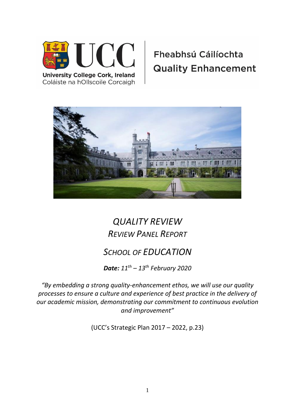

Coláiste na hOllscoile Corcaigh

# Fheabhsú Cáilíochta **Quality Enhancement**



## *QUALITY REVIEW REVIEW PANEL REPORT*

## *SCHOOL OF EDUCATION*

*Date: 11th – 13th February 2020*

*"By embedding a strong quality-enhancement ethos, we will use our quality processes to ensure a culture and experience of best practice in the delivery of our academic mission, demonstrating our commitment to continuous evolution and improvement"* 

(UCC's Strategic Plan 2017 – 2022, p.23)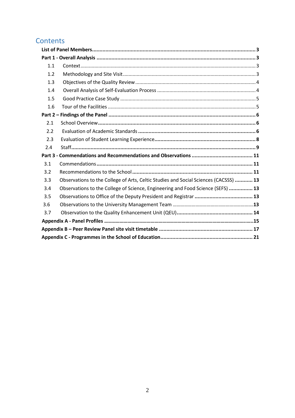## **Contents**

| 1.1 |                                                                                      |  |
|-----|--------------------------------------------------------------------------------------|--|
| 1.2 |                                                                                      |  |
| 1.3 |                                                                                      |  |
| 1.4 |                                                                                      |  |
| 1.5 |                                                                                      |  |
| 1.6 |                                                                                      |  |
|     |                                                                                      |  |
| 2.1 |                                                                                      |  |
| 2.2 |                                                                                      |  |
| 2.3 |                                                                                      |  |
| 2.4 |                                                                                      |  |
|     |                                                                                      |  |
| 3.1 |                                                                                      |  |
| 3.2 |                                                                                      |  |
| 3.3 | Observations to the College of Arts, Celtic Studies and Social Sciences (CACSSS)  13 |  |
| 3.4 | Observations to the College of Science, Engineering and Food Science (SEFS)  13      |  |
| 3.5 |                                                                                      |  |
| 3.6 |                                                                                      |  |
| 3.7 |                                                                                      |  |
|     |                                                                                      |  |
|     |                                                                                      |  |
|     |                                                                                      |  |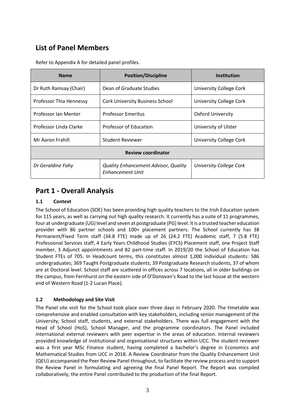## <span id="page-2-0"></span>**List of Panel Members**

| <b>Name</b>               | <b>Position/Discipline</b>                                             | <b>Institution</b>             |  |
|---------------------------|------------------------------------------------------------------------|--------------------------------|--|
| Dr Ruth Ramsay (Chair)    | Dean of Graduate Studies                                               | University College Cork        |  |
| Professor Thia Hennessy   | <b>Cork University Business School</b>                                 | <b>University College Cork</b> |  |
| Professor Ian Menter      | <b>Professor Emeritus</b>                                              | <b>Oxford University</b>       |  |
| Professor Linda Clarke    | <b>Professor of Education</b>                                          | University of Ulster           |  |
| Mr Aaron Frahill          | <b>Student Reviewer</b>                                                | <b>University College Cork</b> |  |
| <b>Review coordinator</b> |                                                                        |                                |  |
| Dr Geraldine Fahy         | <b>Quality Enhancement Advisor, Quality</b><br><b>Enhancement Unit</b> | <b>University College Cork</b> |  |

Refer to Appendix A for detailed panel profiles.

### <span id="page-2-1"></span>**Part 1 - Overall Analysis**

#### <span id="page-2-2"></span>**1.1 Context**

The School of Education (SOE) has been providing high quality teachers to the Irish Education system for 115 years, as well as carrying out high quality research. It currently has a suite of 11 programmes, four at undergraduate (UG) level and seven at postgraduate (PG) level. It is a trusted teacher education provider with 86 partner schools and 100+ placement partners. The School currently has 38 Permanent/Fixed Term staff (34.8 FTE) made up of 26 (24.2 FTE) Academic staff, 7 (5.8 FTE) Professional Services staff, 4 Early Years Childhood Studies (EYCS) Placement staff, one Project Staff member, 3 Adjunct appointments and 82 part-time staff. In 2019/20 the School of Education has Student FTEs of 705. In Headcount terms, this constitutes almost 1,000 individual students: 586 undergraduates; 369 Taught Postgraduate students; 39 Postgraduate Research students, 37 of whom are at Doctoral level. School staff are scattered in offices across 7 locations, all in older buildings on the campus, from Fernhurst on the eastern side of O'Donovan's Road to the last house at the western end of Western Road (1-2 Lucan Place).

#### <span id="page-2-3"></span>**1.2 Methodology and Site Visit**

The Panel site visit for the School took place over three days in February 2020. The timetable was comprehensive and enabled consultation with key stakeholders, including senior management of the University, School staff, students, and external stakeholders. There was full engagement with the Head of School (HoS), School Manager, and the programme coordinators. The Panel included international external reviewers with peer expertise in the areas of education. Internal reviewers provided knowledge of institutional and organisational structures within UCC. The student reviewer was a first year MSc Finance student, having completed a bachelor's degree in Economics and Mathematical Studies from UCC in 2018. A Review Coordinator from the Quality Enhancement Unit (QEU) accompanied the Peer Review Panel throughout, to facilitate the review process and to support the Review Panel in formulating and agreeing the final Panel Report. The Report was compiled collaboratively; the entire Panel contributed to the production of the final Report.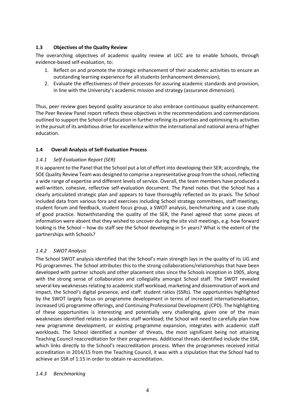#### <span id="page-3-0"></span>**1.3 Objectives of the Quality Review**

The overarching objectives of academic quality review at UCC are to enable Schools, through evidence-based self-evaluation, to:

- 1. Reflect on and promote the strategic enhancement of their academic activities to ensure an outstanding learning experience for all students (enhancement dimension);
- 2. Evaluate the effectiveness of their processes for assuring academic standards and provision, in line with the University's academic mission and strategy (assurance dimension).

Thus, peer review goes beyond quality assurance to also embrace continuous quality enhancement. The Peer Review Panel report reflects these objectives in the recommendations and commendations outlined to support the School of Education in further refining its priorities and optimising its activities in the pursuit of its ambitious drive for excellence within the international and national arena of higher education.

#### <span id="page-3-1"></span>**1.4 Overall Analysis of Self-Evaluation Process**

#### *1.4.1 Self-Evaluation Report (SER)*

It is apparent to the Panel that the School put a lot of effort into developing their SER; accordingly, the SOE Quality Review Team was designed to comprise a representative group from the school, reflecting a wide range of expertise and different levels of service. Overall, the team members have produced a well-written, cohesive, reflective self-evaluation document. The Panel notes that the School has a clearly articulated strategic plan and appears to have thoroughly reflected on its praxis. The School included data from various fora and exercises including School strategy committees, staff meetings, student forum and feedback, student focus group, a SWOT analysis, benchmarking and a case study of good practice. Notwithstanding the quality of the SER, the Panel agreed that some pieces of information were absent that they wished to uncover during the site visit meetings, e.g. how forward looking is the School – how do staff see the School developing in 5+ years? What is the extent of the partnerships with Schools?

#### *1.4.2 SWOT Analysis*

The School SWOT analysis identified that the School's main strength lays in the quality of its UG and PG programmes. The School attributes this to the strong collaborations/relationships that have been developed with partner schools and other placement sites since the Schools inception in 1905, along with the strong sense of collaboration and collegiality amongst School staff. The SWOT revealed several key weaknesses relating to academic staff workload, marketing and dissemination of work and impact, the School's digital presence, and staff: student ratios (SSRs). The opportunities highlighted by the SWOT largely focus on programme development in terms of increased internationalisation, increased UG programme offerings, and Continuing Professional Development (CPD). The highlighting of these opportunities is interesting and potentially very challenging, given one of the main weaknesses identified relates to academic staff workload; the School will need to carefully plan how new programme development, or existing programme expansion, integrates with academic staff workloads. The School identified a number of threats, the most significant being not attaining Teaching Council reaccreditation for their programmes. Additional threats identified include the SSR, which links directly to the School's reaccreditation process. When the programmes received initial accreditation in 2014/15 from the Teaching Council, it was with a stipulation that the School had to achieve an SSR of 1:15 in order to obtain re-accreditation.

#### *1.4.3 Benchmarking*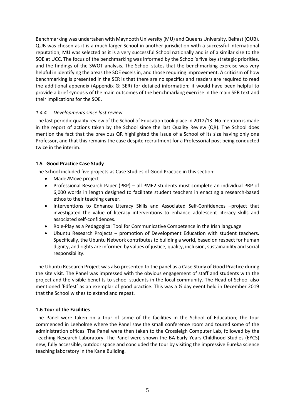Benchmarking was undertaken with Maynooth University (MU) and Queens University, Belfast (QUB). QUB was chosen as it is a much larger School in another jurisdiction with a successful international reputation; MU was selected as it is a very successful School nationally and is of a similar size to the SOE at UCC. The focus of the benchmarking was informed by the School's five key strategic priorities, and the findings of the SWOT analysis. The School states that the benchmarking exercise was very helpful in identifying the areas the SOE excels in, and those requiring improvement. A criticism of how benchmarking is presented in the SER is that there are no specifics and readers are required to read the additional appendix (Appendix G: SER) for detailed information; it would have been helpful to provide a brief synopsis of the main outcomes of the benchmarking exercise in the main SER text and their implications for the SOE.

#### *1.4.4 Developments since last review*

The last periodic quality review of the School of Education took place in 2012/13. No mention is made in the report of actions taken by the School since the last Quality Review (QR). The School does mention the fact that the previous QR highlighted the issue of a School of its size having only one Professor, and that this remains the case despite recruitment for a Professorial post being conducted twice in the interim.

#### <span id="page-4-0"></span>**1.5 Good Practice Case Study**

The School included five projects as Case Studies of Good Practice in this section:

- Made2Move project
- Professional Research Paper (PRP) all PME2 students must complete an individual PRP of 6,000 words in length designed to facilitate student teachers in enacting a research-based ethos to their teaching career.
- Interventions to Enhance Literacy Skills and Associated Self-Confidences –project that investigated the value of literacy interventions to enhance adolescent literacy skills and associated self-confidences.
- Role-Play as a Pedagogical Tool for Communicative Competence in the Irish language
- Ubuntu Research Projects promotion of Development Education with student teachers. Specifically, the Ubuntu Network contributes to building a world, based on respect for human dignity, and rights are informed by values of justice, quality, inclusion, sustainability and social responsibility.

The Ubuntu Research Project was also presented to the panel as a Case Study of Good Practice during the site visit. The Panel was impressed with the obvious engagement of staff and students with the project and the visible benefits to school students in the local community. The Head of School also mentioned 'Edfest' as an exemplar of good practice. This was a ½ day event held in December 2019 that the School wishes to extend and repeat.

#### <span id="page-4-1"></span>**1.6 Tour of the Facilities**

The Panel were taken on a tour of some of the facilities in the School of Education; the tour commenced in Leeholme where the Panel saw the small conference room and toured some of the administration offices. The Panel were then taken to the Crossleigh Computer Lab, followed by the Teaching Research Laboratory. The Panel were shown the BA Early Years Childhood Studies (EYCS) new, fully accessible, outdoor space and concluded the tour by visiting the impressive Eureka science teaching laboratory in the Kane Building.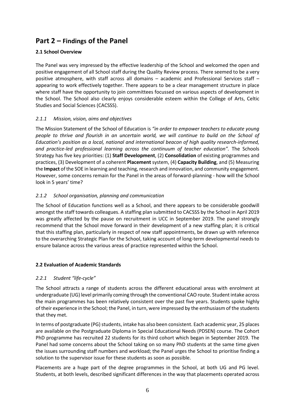### <span id="page-5-0"></span>**Part 2 – Findings of the Panel**

#### <span id="page-5-1"></span>**2.1 School Overview**

The Panel was very impressed by the effective leadership of the School and welcomed the open and positive engagement of all School staff during the Quality Review process. There seemed to be a very positive atmosphere, with staff across all domains – academic and Professional Services staff – appearing to work effectively together. There appears to be a clear management structure in place where staff have the opportunity to join committees focussed on various aspects of development in the School. The School also clearly enjoys considerable esteem within the College of Arts, Celtic Studies and Social Sciences (CACSSS).

#### *2.1.1 Mission, vision, aims and objectives*

The Mission Statement of the School of Education is *"in order to empower teachers to educate young people to thrive and flourish in an uncertain world, we will continue to build on the School of Education's position as a local, national and international beacon of high quality research-informed, and practice-led professional learning across the continuum of teacher education".* The Schools Strategy has five key priorities: (1) **Staff Development**, (2) **Consolidation** of existing programmes and practices, (3) Development of a coherent **Placement** system, (4) **Capacity Building**, and (5) Measuring the **Impact** of the SOE in learning and teaching, research and innovation, and community engagement. However, some concerns remain for the Panel in the areas of forward-planning - how will the School look in 5 years' time?

#### *2.1.2 School organisation, planning and communication*

The School of Education functions well as a School, and there appears to be considerable goodwill amongst the staff towards colleagues. A staffing plan submitted to CACSSS by the School in April 2019 was greatly affected by the pause on recruitment in UCC in September 2019. The panel strongly recommend that the School move forward in their development of a new staffing plan; it is critical that this staffing plan, particularly in respect of new staff appointments, be drawn up with reference to the overarching Strategic Plan for the School, taking account of long-term developmental needs to ensure balance across the various areas of practice represented within the School.

#### <span id="page-5-2"></span>**2.2 Evaluation of Academic Standards**

#### *2.2.1 Student "life-cycle"*

The School attracts a range of students across the different educational areas with enrolment at undergraduate (UG) level primarily coming through the conventional CAO route. Student intake across the main programmes has been relatively consistent over the past five years. Students spoke highly of their experience in the School; the Panel, in turn, were impressed by the enthusiasm of the students that they met.

In terms of postgraduate (PG) students, intake has also been consistent. Each academic year, 25 places are available on the Postgraduate Diploma in Special Educational Needs (PDSEN) course. The Cohort PhD programme has recruited 22 students for its third cohort which began in September 2019. The Panel had some concerns about the School taking on so many PhD students at the same time given the issues surrounding staff numbers and workload; the Panel urges the School to prioritise finding a solution to the supervisor issue for these students as soon as possible.

Placements are a huge part of the degree programmes in the School, at both UG and PG level. Students, at both levels, described significant differences in the way that placements operated across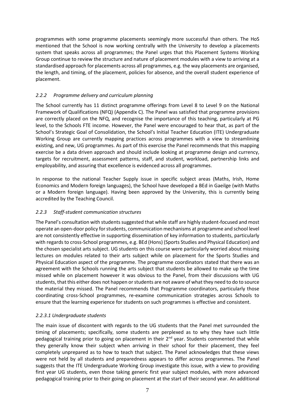programmes with some programme placements seemingly more successful than others. The HoS mentioned that the School is now working centrally with the University to develop a placements system that speaks across all programmes; the Panel urges that this Placement Systems Working Group continue to review the structure and nature of placement modules with a view to arriving at a standardised approach for placements across all programmes, e.g. the way placements are organised, the length, and timing, of the placement, policies for absence, and the overall student experience of placement.

#### *2.2.2 Programme delivery and curriculum planning*

The School currently has 11 distinct programme offerings from Level 8 to Level 9 on the National Framework of Qualifications (NFQ) (Appendix C). The Panel was satisfied that programme provisions are correctly placed on the NFQ, and recognise the importance of this teaching, particularly at PG level, to the Schools FTE income. However, the Panel were encouraged to hear that, as part of the School's Strategic Goal of Consolidation, the School's Initial Teacher Education (ITE) Undergraduate Working Group are currently mapping practices across programmes with a view to streamlining existing, and new, UG programmes. As part of this exercise the Panel recommends that this mapping exercise be a data driven approach and should include looking at programme design and currency, targets for recruitment, assessment patterns, staff, and student, workload, partnership links and employability, and assuring that excellence is evidenced across all programmes.

In response to the national Teacher Supply issue in specific subject areas (Maths, Irish, Home Economics and Modern foreign languages), the School have developed a BEd in Gaeilge (with Maths or a Modern foreign language). Having been approved by the University, this is currently being accredited by the Teaching Council.

#### *2.2.3 Staff-student communication structures*

The Panel's consultation with students suggested that while staff are highly student-focused and most operate an open-door policy for students, communication mechanisms at programme and school level are not consistently effective in supporting dissemination of key information to students, particularly with regards to cross-School programmes, e.g. BEd (Hons) (Sports Studies and Physical Education) and the chosen specialist arts subject. UG students on this course were particularly worried about missing lectures on modules related to their arts subject while on placement for the Sports Studies and Physical Education aspect of the programme. The programme coordinators stated that there was an agreement with the Schools running the arts subject that students be allowed to make up the time missed while on placement however it was obvious to the Panel, from their discussions with UG students, that this either does not happen or students are not aware of what they need to do to source the material they missed. The Panel recommends that Programme coordinators, particularly those coordinating cross-School programmes, re-examine communication strategies across Schools to ensure that the learning experience for students on such programmes is effective and consistent.

#### *2.2.3.1 Undergraduate students*

The main issue of discontent with regards to the UG students that the Panel met surrounded the timing of placements; specifically, some students are perplexed as to why they have such little pedagogical training prior to going on placement in their 2<sup>nd</sup> year. Students commented that while they generally know their subject when arriving in their school for their placement, they feel completely unprepared as to how to teach that subject. The Panel acknowledges that these views were not held by all students and preparedness appears to differ across programmes. The Panel suggests that the ITE Undergraduate Working Group investigate this issue, with a view to providing first year UG students, even those taking generic first year subject modules, with more advanced pedagogical training prior to their going on placement at the start of their second year. An additional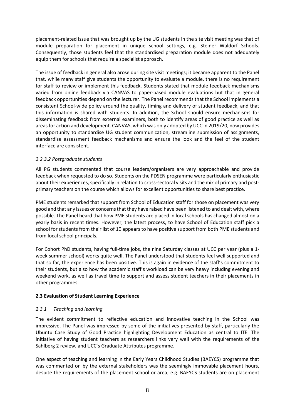placement-related issue that was brought up by the UG students in the site visit meeting was that of module preparation for placement in unique school settings, e.g. Steiner Waldorf Schools. Consequently, those students feel that the standardised preparation module does not adequately equip them for schools that require a specialist approach.

The issue of feedback in general also arose during site visit meetings; it became apparent to the Panel that, while many staff give students the opportunity to evaluate a module, there is no requirement for staff to review or implement this feedback. Students stated that module feedback mechanisms varied from online feedback via CANVAS to paper-based module evaluations but that in general feedback opportunities depend on the lecturer. The Panel recommends that the School implements a consistent School-wide policy around the quality, timing and delivery of student feedback, and that this information is shared with students. In addition, the School should ensure mechanisms for disseminating feedback from external examiners, both to identify areas of good practice as well as areas for action and development. CANVAS, which was only adopted by UCC in 2019/20, now provides an opportunity to standardise UG student communication, streamline submission of assignments, standardise assessment feedback mechanisms and ensure the look and the feel of the student interface are consistent.

#### *2.2.3.2 Postgraduate students*

All PG students commented that course leaders/organisers are very approachable and provide feedback when requested to do so. Students on the PDSEN programme were particularly enthusiastic about their experiences, specifically in relation to cross-sectoral visits and the mix of primary and postprimary teachers on the course which allows for excellent opportunities to share best practice.

PME students remarked that support from School of Education staff for those on placement was very good and that any issues or concerns that they have raised have been listened to and dealt with, where possible. The Panel heard that how PME students are placed in local schools has changed almost on a yearly basis in recent times. However, the latest process, to have School of Education staff pick a school for students from their list of 10 appears to have positive support from both PME students and from local school principals.

For Cohort PhD students, having full-time jobs, the nine Saturday classes at UCC per year (plus a 1 week summer school) works quite well. The Panel understood that students feel well supported and that so far, the experience has been positive. This is again in evidence of the staff's commitment to their students, but also how the academic staff's workload can be very heavy including evening and weekend work, as well as travel time to support and assess student teachers in their placements in other programmes.

#### <span id="page-7-0"></span>**2.3 Evaluation of Student Learning Experience**

#### *2.3.1 Teaching and learning*

The evident commitment to reflective education and innovative teaching in the School was impressive. The Panel was impressed by some of the initiatives presented by staff, particularly the Ubuntu Case Study of Good Practice highlighting Development Education as central to ITE. The initiative of having student teachers as researchers links very well with the requirements of the Sahlberg 2 review, and UCC's Graduate Attributes programme.

One aspect of teaching and learning in the Early Years Childhood Studies (BAEYCS) programme that was commented on by the external stakeholders was the seemingly immovable placement hours, despite the requirements of the placement school or area; e.g. BAEYCS students are on placement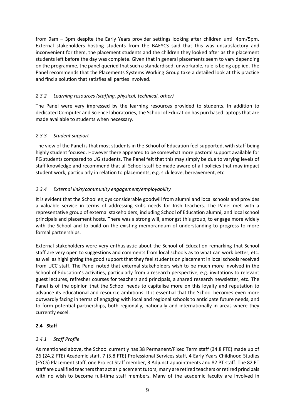from 9am – 3pm despite the Early Years provider settings looking after children until 4pm/5pm. External stakeholders hosting students from the BAEYCS said that this was unsatisfactory and inconvenient for them, the placement students and the children they looked after as the placement students left before the day was complete. Given that in general placements seem to vary depending on the programme, the panel queried that such a standardised, unworkable, rule is being applied. The Panel recommends that the Placements Systems Working Group take a detailed look at this practice and find a solution that satisfies all parties involved.

#### *2.3.2 Learning resources (staffing, physical, technical, other)*

The Panel were very impressed by the learning resources provided to students. In addition to dedicated Computer and Science laboratories, the School of Education has purchased laptops that are made available to students when necessary.

#### *2.3.3 Student support*

The view of the Panel is that most students in the School of Education feel supported, with staff being highly student focused. However there appeared to be somewhat more pastoral support available for PG students compared to UG students. The Panel felt that this may simply be due to varying levels of staff knowledge and recommend that all School staff be made aware of all policies that may impact student work, particularly in relation to placements, e.g. sick leave, bereavement, etc.

#### *2.3.4 External links/community engagement/employability*

It is evident that the School enjoys considerable goodwill from alumni and local schools and provides a valuable service in terms of addressing skills needs for Irish teachers. The Panel met with a representative group of external stakeholders, including School of Education alumni, and local school principals and placement hosts. There was a strong will, amongst this group, to engage more widely with the School and to build on the existing memorandum of understanding to progress to more formal partnerships.

External stakeholders were very enthusiastic about the School of Education remarking that School staff are very open to suggestions and comments from local schools as to what can work better, etc. as well as highlighting the good support that they feel students on placement in local schools received from UCC staff. The Panel noted that external stakeholders wish to be much more involved in the School of Education's activities, particularly from a research perspective, e.g. invitations to relevant guest lectures, refresher courses for teachers and principals, a shared research newsletter, etc. The Panel is of the opinion that the School needs to capitalise more on this loyalty and reputation to advance its educational and resource ambitions. It is essential that the School becomes even more outwardly facing in terms of engaging with local and regional schools to anticipate future needs, and to form potential partnerships, both regionally, nationally and internationally in areas where they currently excel.

#### <span id="page-8-0"></span>**2.4 Staff**

#### *2.4.1 Staff Profile*

As mentioned above, the School currently has 38 Permanent/Fixed Term staff (34.8 FTE) made up of 26 (24.2 FTE) Academic staff, 7 (5.8 FTE) Professional Services staff, 4 Early Years Childhood Studies (EYCS) Placement staff, one Project Staff member, 3 Adjunct appointments and 82 PT staff. The 82 PT staff are qualified teachers that act as placement tutors, many are retired teachers or retired principals with no wish to become full-time staff members. Many of the academic faculty are involved in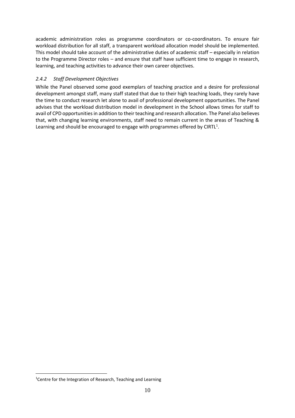academic administration roles as programme coordinators or co-coordinators. To ensure fair workload distribution for all staff, a transparent workload allocation model should be implemented. This model should take account of the administrative duties of academic staff – especially in relation to the Programme Director roles – and ensure that staff have sufficient time to engage in research, learning, and teaching activities to advance their own career objectives.

#### *2.4.2 Staff Development Objectives*

While the Panel observed some good exemplars of teaching practice and a desire for professional development amongst staff, many staff stated that due to their high teaching loads, they rarely have the time to conduct research let alone to avail of professional development opportunities. The Panel advises that the workload distribution model in development in the School allows times for staff to avail of CPD opportunities in addition to their teaching and research allocation. The Panel also believes that, with changing learning environments, staff need to remain current in the areas of Teaching & Learning and should be encouraged to engage with programmes offered by CIRTL<sup>1</sup>.

<sup>&</sup>lt;sup>1</sup>Centre for the Integration of Research, Teaching and Learning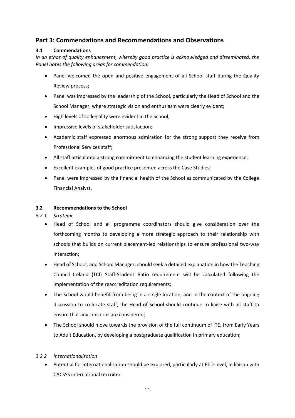#### <span id="page-10-0"></span>**Part 3: Commendations and Recommendations and Observations**

#### <span id="page-10-1"></span>**3.1 Commendations**

*In an ethos of quality enhancement, whereby good practice is acknowledged and disseminated, the Panel notes the following areas for commendation:* 

- Panel welcomed the open and positive engagement of all School staff during the Quality Review process;
- Panel was impressed by the leadership of the School, particularly the Head of School and the School Manager, where strategic vision and enthusiasm were clearly evident;
- High levels of collegiality were evident in the School;
- Impressive levels of stakeholder satisfaction;
- Academic staff expressed enormous admiration for the strong support they receive from Professional Services staff;
- All staff articulated a strong commitment to enhancing the student learning experience;
- Excellent examples of good practice presented across the Case Studies;
- Panel were impressed by the financial health of the School as communicated by the College Financial Analyst.

#### <span id="page-10-2"></span>**3.2 Recommendations to the School**

#### *3.2.1 Strategic*

- Head of School and all programme coordinators should give consideration over the forthcoming months to developing a more strategic approach to their relationship with schools that builds on current placement-led relationships to ensure professional two-way interaction;
- Head of School, and School Manager, should seek a detailed explanation in how the Teaching Council Ireland (TCI) Staff-Student Ratio requirement will be calculated following the implementation of the reaccreditation requirements;
- The School would benefit from being in a single location, and in the context of the ongoing discussion to co-locate staff, the Head of School should continue to liaise with all staff to ensure that any concerns are considered;
- The School should move towards the provision of the full continuum of ITE, from Early Years to Adult Education, by developing a postgraduate qualification in primary education;

#### *3.2.2 Internationalisation*

• Potential for internationalisation should be explored, particularly at PhD-level, in liaison with CACSSS international recruiter.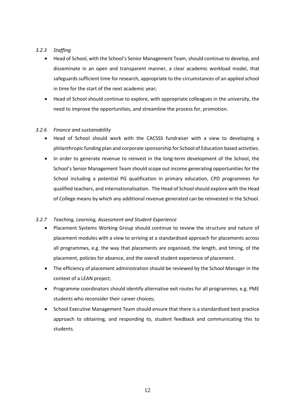#### *3.2.3 Staffing*

- Head of School, with the School's Senior Management Team, should continue to develop, and disseminate in an open and transparent manner, a clear academic workload model, that safeguards sufficient time for research, appropriate to the circumstances of an applied school in time for the start of the next academic year;
- Head of School should continue to explore, with appropriate colleagues in the university, the need to improve the opportunities, and streamline the process for, promotion.

#### *3.2.6 Finance and sustainability*

- Head of School should work with the CACSSS fundraiser with a view to developing a philanthropic funding plan and corporate sponsorship for School of Education based activities.
- In order to generate revenue to reinvest in the long-term development of the School, the School's Senior Management Team should scope out income generating opportunities for the School including a potential PG qualification in primary education, CPD programmes for qualified teachers, and internationalisation. The Head of School should explore with the Head of College means by which any additional revenue generated can be reinvested in the School.

#### *3.2.7 Teaching, Learning, Assessment and Student Experience*

- Placement Systems Working Group should continue to review the structure and nature of placement modules with a view to arriving at a standardised approach for placements across all programmes, e.g. the way that placements are organised, the length, and timing, of the placement, policies for absence, and the overall student experience of placement.
- The efficiency of placement administration should be reviewed by the School Manager in the context of a LEAN project;
- Programme coordinators should identify alternative exit routes for all programmes, e.g. PME students who reconsider their career choices;
- School Executive Management Team should ensure that there is a standardised best practice approach to obtaining, and responding to, student feedback and communicating this to students.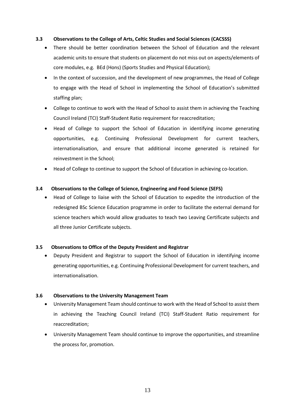#### <span id="page-12-0"></span>**3.3 Observations to the College of Arts, Celtic Studies and Social Sciences (CACSSS)**

- There should be better coordination between the School of Education and the relevant academic units to ensure that students on placement do not miss out on aspects/elements of core modules, e.g. BEd (Hons) (Sports Studies and Physical Education);
- In the context of succession, and the development of new programmes, the Head of College to engage with the Head of School in implementing the School of Education's submitted staffing plan;
- College to continue to work with the Head of School to assist them in achieving the Teaching Council Ireland (TCI) Staff-Student Ratio requirement for reaccreditation;
- Head of College to support the School of Education in identifying income generating opportunities, e.g. Continuing Professional Development for current teachers, internationalisation, and ensure that additional income generated is retained for reinvestment in the School;
- Head of College to continue to support the School of Education in achieving co-location.

#### <span id="page-12-1"></span>**3.4 Observations to the College of Science, Engineering and Food Science (SEFS)**

• Head of College to liaise with the School of Education to expedite the introduction of the redesigned BSc Science Education programme in order to facilitate the external demand for science teachers which would allow graduates to teach two Leaving Certificate subjects and all three Junior Certificate subjects.

#### <span id="page-12-2"></span>**3.5 Observations to Office of the Deputy President and Registrar**

• Deputy President and Registrar to support the School of Education in identifying income generating opportunities, e.g. Continuing Professional Development for current teachers, and internationalisation.

#### **3.6 Observations to the University Management Team**

- University Management Team should continue to work with the Head of School to assist them in achieving the Teaching Council Ireland (TCI) Staff-Student Ratio requirement for reaccreditation;
- University Management Team should continue to improve the opportunities, and streamline the process for, promotion.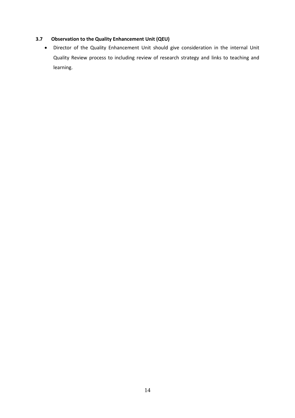#### <span id="page-13-0"></span>**3.7 Observation to the Quality Enhancement Unit (QEU)**

• Director of the Quality Enhancement Unit should give consideration in the internal Unit Quality Review process to including review of research strategy and links to teaching and learning.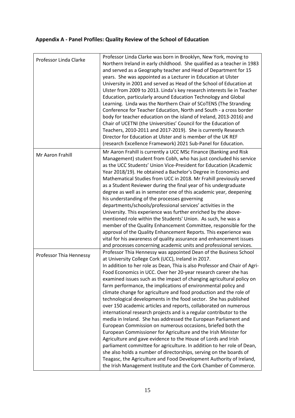## **Appendix A - Panel Profiles: Quality Review of the School of Education**

| Professor Linda Clarke  | Professor Linda Clarke was born in Brooklyn, New York, moving to<br>Northern Ireland in early childhood. She qualified as a teacher in 1983<br>and served as a Geography teacher and Head of Department for 15<br>years. She was appointed as a Lecturer in Education at Ulster<br>University in 2001 and served as Head of the School of Education at<br>Ulster from 2009 to 2013. Linda's key research interests lie in Teacher<br>Education, particularly around Education Technology and Global<br>Learning. Linda was the Northern Chair of SCoTENS (The Stranding<br>Conference for Teacher Education, North and South - a cross border<br>body for teacher education on the island of Ireland, 2013-2016) and<br>Chair of UCETNI (the Universities' Council for the Education of<br>Teachers, 2010-2011 and 2017-2019). She is currently Research<br>Director for Education at Ulster and is member of the UK REF<br>(research Excellence Framework) 2021 Sub-Panel for Education.                                                                                                                                                                                                                                                                                  |
|-------------------------|----------------------------------------------------------------------------------------------------------------------------------------------------------------------------------------------------------------------------------------------------------------------------------------------------------------------------------------------------------------------------------------------------------------------------------------------------------------------------------------------------------------------------------------------------------------------------------------------------------------------------------------------------------------------------------------------------------------------------------------------------------------------------------------------------------------------------------------------------------------------------------------------------------------------------------------------------------------------------------------------------------------------------------------------------------------------------------------------------------------------------------------------------------------------------------------------------------------------------------------------------------------------------|
| <b>Mr Aaron Frahill</b> | Mr Aaron Frahill is currently a UCC MSc Finance (Banking and Risk<br>Management) student from Cobh, who has just concluded his service<br>as the UCC Students' Union Vice-President for Education (Academic<br>Year 2018/19). He obtained a Bachelor's Degree in Economics and<br>Mathematical Studies from UCC in 2018. Mr Frahill previously served<br>as a Student Reviewer during the final year of his undergraduate<br>degree as well as in semester one of this academic year, deepening<br>his understanding of the processes governing<br>departments/schools/professional services' activities in the<br>University. This experience was further enriched by the above-<br>mentioned role within the Students' Union. As such, he was a<br>member of the Quality Enhancement Committee, responsible for the<br>approval of the Quality Enhancement Reports. This experience was<br>vital for his awareness of quality assurance and enhancement issues<br>and processes concerning academic units and professional services.                                                                                                                                                                                                                                     |
| Professor Thia Hennessy | Professor Thia Hennessy was appointed Dean of the Business School<br>at University College Cork (UCC), Ireland in 2017.<br>In addition to her role as Dean, Thia is also Professor and Chair of Agri-<br>Food Economics in UCC. Over her 20-year research career she has<br>examined issues such as the impact of changing agricultural policy on<br>farm performance, the implications of environmental policy and<br>climate change for agriculture and food production and the role of<br>technological developments in the food sector. She has published<br>over 150 academic articles and reports, collaborated on numerous<br>international research projects and is a regular contributor to the<br>media in Ireland. She has addressed the European Parliament and<br>European Commission on numerous occasions, briefed both the<br>European Commissioner for Agriculture and the Irish Minister for<br>Agriculture and gave evidence to the House of Lords and Irish<br>parliament committee for agriculture. In addition to her role of Dean,<br>she also holds a number of directorships, serving on the boards of<br>Teagasc, the Agriculture and Food Development Authority of Ireland,<br>the Irish Management Institute and the Cork Chamber of Commerce. |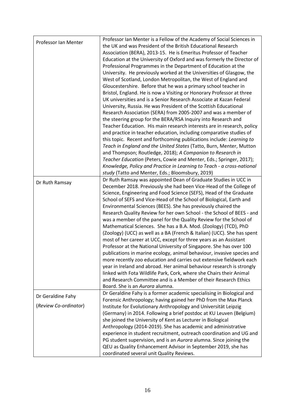|                       | Professor Ian Menter is a Fellow of the Academy of Social Sciences in   |
|-----------------------|-------------------------------------------------------------------------|
| Professor Ian Menter  | the UK and was President of the British Educational Research            |
|                       | Association (BERA), 2013-15. He is Emeritus Professor of Teacher        |
|                       | Education at the University of Oxford and was formerly the Director of  |
|                       | Professional Programmes in the Department of Education at the           |
|                       | University. He previously worked at the Universities of Glasgow, the    |
|                       | West of Scotland, London Metropolitan, the West of England and          |
|                       | Gloucestershire. Before that he was a primary school teacher in         |
|                       | Bristol, England. He is now a Visiting or Honorary Professor at three   |
|                       | UK universities and is a Senior Research Associate at Kazan Federal     |
|                       |                                                                         |
|                       | University, Russia. He was President of the Scottish Educational        |
|                       | Research Association (SERA) from 2005-2007 and was a member of          |
|                       | the steering group for the BERA/RSA Inquiry into Research and           |
|                       | Teacher Education. His main research interests are in research, policy  |
|                       | and practice in teacher education, including comparative studies of     |
|                       | this topic. Recent and forthcoming publications include: Learning to    |
|                       | Teach in England and the United States (Tatto, Burn, Menter, Mutton     |
|                       | and Thompson; Routledge, 2018); A Companion to Research in              |
|                       | Teacher Education (Peters, Cowie and Menter, Eds.; Springer, 2017);     |
|                       | Knowledge, Policy and Practice in Learning to Teach - a cross-national  |
|                       | study (Tatto and Menter, Eds.; Bloomsbury, 2019)                        |
| Dr Ruth Ramsay        | Dr Ruth Ramsay was appointed Dean of Graduate Studies in UCC in         |
|                       | December 2018. Previously she had been Vice-Head of the College of      |
|                       | Science, Engineering and Food Science (SEFS), Head of the Graduate      |
|                       | School of SEFS and Vice-Head of the School of Biological, Earth and     |
|                       | Environmental Sciences (BEES). She has previously chaired the           |
|                       | Research Quality Review for her own School - the School of BEES - and   |
|                       | was a member of the panel for the Quality Review for the School of      |
|                       | Mathematical Sciences. She has a B.A. Mod. (Zoology) (TCD), PhD         |
|                       | (Zoology) (UCC) as well as a BA (French & Italian) (UCC). She has spent |
|                       | most of her career at UCC, except for three years as an Assistant       |
|                       | Professor at the National University of Singapore. She has over 100     |
|                       | publications in marine ecology, animal behaviour, invasive species and  |
|                       | more recently zoo education and carries out extensive fieldwork each    |
|                       | year in Ireland and abroad. Her animal behaviour research is strongly   |
|                       | linked with Fota Wildlife Park, Cork, where she Chairs their Animal     |
|                       | and Research Committee and is a Member of their Research Ethics         |
|                       | Board. She is an Aurora alumna.                                         |
|                       | Dr Geraldine Fahy is a former academic specialising in Biological and   |
| Dr Geraldine Fahy     | Forensic Anthropology; having gained her PhD from the Max Planck        |
| (Review Co-ordinator) | Institute for Evolutionary Anthropology and Universität Leipzig         |
|                       | (Germany) in 2014. Following a brief postdoc at KU Leuven (Belgium)     |
|                       | she joined the University of Kent as Lecturer in Biological             |
|                       |                                                                         |
|                       | Anthropology (2014-2019). She has academic and administrative           |
|                       | experience in student recruitment, outreach coordination and UG and     |
|                       | PG student supervision, and is an Aurora alumna. Since joining the      |
|                       | QEU as Quality Enhancement Advisor in September 2019, she has           |
|                       | coordinated several unit Quality Reviews.                               |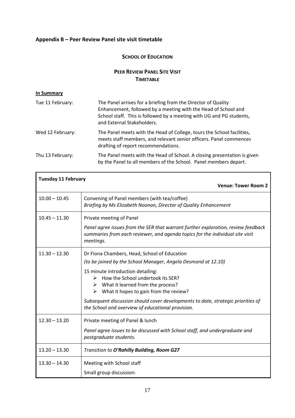#### <span id="page-16-0"></span>**Appendix B – Peer Review Panel site visit timetable**

#### **SCHOOL OF EDUCATION**

#### **PEER REVIEW PANEL SITE VISIT TIMETABLE**

#### **In Summary**

| Tue 11 February: | The Panel arrives for a briefing from the Director of Quality<br>Enhancement, followed by a meeting with the Head of School and<br>School staff. This is followed by a meeting with UG and PG students,<br>and External Stakeholders. |
|------------------|---------------------------------------------------------------------------------------------------------------------------------------------------------------------------------------------------------------------------------------|
| Wed 12 February: | The Panel meets with the Head of College, tours the School facilities,<br>meets staff members, and relevant senior officers. Panel commences<br>drafting of report recommendations.                                                   |
| Thu 13 February: | The Panel meets with the Head of School. A closing presentation is given<br>by the Panel to all members of the School. Panel members depart.                                                                                          |

| <b>Tuesday 11 February</b> |                                                                                                                                                                                 |
|----------------------------|---------------------------------------------------------------------------------------------------------------------------------------------------------------------------------|
|                            | <b>Venue: Tower Room 2</b>                                                                                                                                                      |
| $10.00 - 10.45$            | Convening of Panel members (with tea/coffee)<br>Briefing by Ms Elizabeth Noonan, Director of Quality Enhancement                                                                |
| $10.45 - 11.30$            | Private meeting of Panel                                                                                                                                                        |
|                            | Panel agree issues from the SER that warrant further exploration, review feedback<br>summaries from each reviewer, and agenda topics for the individual site visit<br>meetings. |
| $11.30 - 12.30$            | Dr Fiona Chambers, Head, School of Education                                                                                                                                    |
|                            | (to be joined by the School Manager, Angela Desmond at 12.10)                                                                                                                   |
|                            | 15 minute introduction detailing:                                                                                                                                               |
|                            | How the School undertook its SER?<br>➤<br>$\triangleright$ What it learned from the process?                                                                                    |
|                            | $\triangleright$ What it hopes to gain from the review?                                                                                                                         |
|                            | Subsequent discussion should cover developments to date, strategic priorities of<br>the School and overview of educational provision.                                           |
| $12.30 - 13.20$            | Private meeting of Panel & lunch                                                                                                                                                |
|                            | Panel agree issues to be discussed with School staff, and undergraduate and<br>postgraduate students.                                                                           |
| $13.20 - 13.30$            | Transition to O'Rahilly Building, Room G27                                                                                                                                      |
| $13.30 - 14.30$            | Meeting with School staff                                                                                                                                                       |
|                            | Small group discussion:                                                                                                                                                         |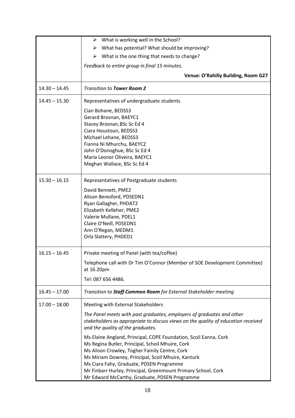|                 | $\triangleright$ What is working well in the School?                                                                                                                                            |
|-----------------|-------------------------------------------------------------------------------------------------------------------------------------------------------------------------------------------------|
|                 | $\triangleright$ What has potential? What should be improving?                                                                                                                                  |
|                 | $\triangleright$ What is the one thing that needs to change?                                                                                                                                    |
|                 | Feedback to entire group in final 15 minutes.                                                                                                                                                   |
|                 | Venue: O'Rahilly Building, Room G27                                                                                                                                                             |
|                 |                                                                                                                                                                                                 |
| $14.30 - 14.45$ | <b>Transition to Tower Room 2</b>                                                                                                                                                               |
| $14.45 - 15.30$ | Representatives of undergraduate students                                                                                                                                                       |
|                 | Cian Bohane, BEDSS3                                                                                                                                                                             |
|                 | Gerard Brosnan, BAEYC1                                                                                                                                                                          |
|                 | Stacey Brosnan, BSc Sc Ed 4                                                                                                                                                                     |
|                 | Ciara Houstoun, BEDSS3                                                                                                                                                                          |
|                 | Michael Lehane, BEDSS3<br>Fianna Ni Mhurchu, BAEYC2                                                                                                                                             |
|                 | John O'Donoghue, BSc Sc Ed 4                                                                                                                                                                    |
|                 | Maria Leonor Oliveira, BAEYC1                                                                                                                                                                   |
|                 | Meghan Wallace, BSc Sc Ed 4                                                                                                                                                                     |
|                 |                                                                                                                                                                                                 |
| $15.30 - 16.15$ | Representatives of Postgraduate students                                                                                                                                                        |
|                 | David Bennett, PME2                                                                                                                                                                             |
|                 | Alison Beresford, PDSEDN1                                                                                                                                                                       |
|                 | Ryan Gallagher, PHDAT2                                                                                                                                                                          |
|                 | Elizabeth Kelleher, PME2                                                                                                                                                                        |
|                 | Valerie Mullane, PDEL1                                                                                                                                                                          |
|                 | Claire O'Neill, PDSEDN1                                                                                                                                                                         |
|                 | Ann O'Regan, MEDM1<br>Orla Slattery, PHDED1                                                                                                                                                     |
|                 |                                                                                                                                                                                                 |
| $16.15 - 16.45$ | Private meeting of Panel (with tea/coffee)                                                                                                                                                      |
|                 | Telephone call with Dr Tim O'Connor (Member of SOE Development Committee)<br>at 16.20pm                                                                                                         |
|                 | Tel: 087 656 4486.                                                                                                                                                                              |
|                 |                                                                                                                                                                                                 |
| $16.45 - 17.00$ | Transition to Staff Common Room for External Stakeholder meeting                                                                                                                                |
| $17.00 - 18.00$ | Meeting with External Stakeholders                                                                                                                                                              |
|                 | The Panel meets with past graduates, employers of graduates and other<br>stakeholders as appropriate to discuss views on the quality of education received<br>and the quality of the graduates. |
|                 | Ms Elaine Angland, Principal, COPE Foundation, Scoil Eanna, Cork<br>Ms Regina Butler, Principal, Schoil Mhuire, Cork                                                                            |
|                 | Ms Alison Crowley, Togher Family Centre, Cork                                                                                                                                                   |
|                 | Ms Miriam Downey, Principal, Scoil Mhuire, Kanturk                                                                                                                                              |
|                 | Ms Ciara Fahy, Graduate, PDSEN Programme<br>Mr Finbarr Hurley, Principal, Greenmount Primary School, Cork                                                                                       |
|                 | Mr Edward McCarthy, Graduate, PDSEN Programme                                                                                                                                                   |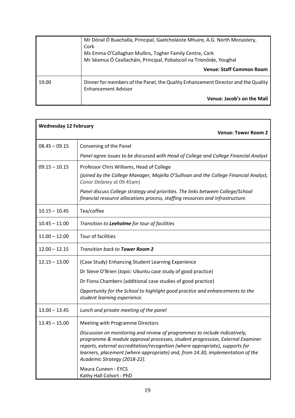|       | Mr Dónal Ó Buachalla, Principal, Gaelcholáiste Mhuire, A.G. North Monastery,<br>Cork<br>Ms Emma O'Callaghan Mullins, Togher Family Centre, Cork<br>Mr Séamus Ó Ceallacháin, Principal, Pobalscoil na Tríonóide, Youghal |
|-------|-------------------------------------------------------------------------------------------------------------------------------------------------------------------------------------------------------------------------|
|       | <b>Venue: Staff Common Room</b>                                                                                                                                                                                         |
| 19.00 | Dinner for members of the Panel, the Quality Enhancement Director and the Quality<br><b>Enhancement Advisor</b>                                                                                                         |
|       | Venue: Jacob's on the Mall                                                                                                                                                                                              |

| <b>Wednesday 12 February</b> |                                                                                                                                                                                                                                                                                                                                                                |  |
|------------------------------|----------------------------------------------------------------------------------------------------------------------------------------------------------------------------------------------------------------------------------------------------------------------------------------------------------------------------------------------------------------|--|
|                              | <b>Venue: Tower Room 2</b>                                                                                                                                                                                                                                                                                                                                     |  |
| $08.45 - 09.15$              | Convening of the Panel                                                                                                                                                                                                                                                                                                                                         |  |
|                              | Panel agree issues to be discussed with Head of College and College Financial Analyst                                                                                                                                                                                                                                                                          |  |
| $09.15 - 10.15$              | Professor Chris Williams, Head of College                                                                                                                                                                                                                                                                                                                      |  |
|                              | (joined by the College Manager, Majella O'Sullivan and the College Financial Analyst,<br>Conor Delaney at 09.45am)                                                                                                                                                                                                                                             |  |
|                              | Panel discuss College strategy and priorities. The links between College/School<br>financial resource allocations process, staffing resources and infrastructure.                                                                                                                                                                                              |  |
| $10.15 - 10.45$              | Tea/coffee                                                                                                                                                                                                                                                                                                                                                     |  |
| $10.45 - 11.00$              | Transition to Leeholme for tour of facilities                                                                                                                                                                                                                                                                                                                  |  |
| $11.00 - 12.00$              | Tour of facilities                                                                                                                                                                                                                                                                                                                                             |  |
| $12.00 - 12.15$              | Transition back to <b>Tower Room 2</b>                                                                                                                                                                                                                                                                                                                         |  |
| $12.15 - 13.00$              | (Case Study) Enhancing Student Learning Experience                                                                                                                                                                                                                                                                                                             |  |
|                              | Dr Steve O'Brien (topic: Ubuntu case study of good practice)                                                                                                                                                                                                                                                                                                   |  |
|                              | Dr Fiona Chambers (additional case studies of good practice)                                                                                                                                                                                                                                                                                                   |  |
|                              | Opportunity for the School to highlight good practice and enhancements to the<br>student learning experience.                                                                                                                                                                                                                                                  |  |
| $13.00 - 13.45$              | Lunch and private meeting of the panel                                                                                                                                                                                                                                                                                                                         |  |
| $13.45 - 15.00$              | Meeting with Programme Directors                                                                                                                                                                                                                                                                                                                               |  |
|                              | Discussion on monitoring and review of programmes to include indicatively,<br>programme & module approval processes, student progression, External Examiner<br>reports, external accreditation/recognition (where appropriate), supports for<br>learners, placement (where appropriate) and, from 14.30, implementation of the<br>Academic Strategy (2018-22). |  |
|                              | Maura Cuneen - EYCS<br>Kathy Hall Cohort - PhD                                                                                                                                                                                                                                                                                                                 |  |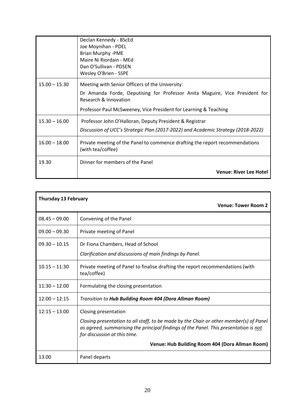|                 | Declan Kennedy - BScEd<br>Joe Moynihan - PDEL<br><b>Brian Murphy -PME</b><br>Maire Ni Riordain - MEd<br>Dan O'Sullivan - PDSEN<br>Wesley O'Brien - SSPE                                                                     |
|-----------------|-----------------------------------------------------------------------------------------------------------------------------------------------------------------------------------------------------------------------------|
| $15.00 - 15.30$ | Meeting with Senior Officers of the University:<br>Dr Amanda Forde, Deputising for Professor Anita Maguire, Vice President for<br>Research & Innovation<br>Professor Paul McSweeney, Vice President for Learning & Teaching |
| $15.30 - 16.00$ | Professor John O'Halloran, Deputy President & Registrar<br>Discussion of UCC's Strategic Plan (2017-2022) and Academic Strategy (2018-2022)                                                                                 |
| $16.00 - 18.00$ | Private meeting of the Panel to commence drafting the report recommendations<br>(with tea/coffee)                                                                                                                           |
| 19.30           | Dinner for members of the Panel<br><b>Venue: River Lee Hotel</b>                                                                                                                                                            |

| <b>Thursday 13 February</b><br><b>Venue: Tower Room 2</b> |                                                                                                                                                                                                                |
|-----------------------------------------------------------|----------------------------------------------------------------------------------------------------------------------------------------------------------------------------------------------------------------|
|                                                           |                                                                                                                                                                                                                |
| $08.45 - 09.00$                                           | Convening of the Panel                                                                                                                                                                                         |
| $09.00 - 09.30$                                           | Private meeting of Panel                                                                                                                                                                                       |
| $09.30 - 10.15$                                           | Dr Fiona Chambers, Head of School                                                                                                                                                                              |
|                                                           | Clarification and discussions of main findings by Panel.                                                                                                                                                       |
| $10.15 - 11:30$                                           | Private meeting of Panel to finalise drafting the report recommendations (with<br>tea/coffee)                                                                                                                  |
| $11:30 - 12:00$                                           | Formulating the closing presentation                                                                                                                                                                           |
| $12:00 - 12:15$                                           | Transition to Hub Building Room 404 (Dora Allman Room)                                                                                                                                                         |
| $12:15 - 13:00$                                           | Closing presentation                                                                                                                                                                                           |
|                                                           | Closing presentation to all staff, to be made by the Chair or other member(s) of Panel<br>as agreed, summarising the principal findings of the Panel. This presentation is not<br>for discussion at this time. |
|                                                           | Venue: Hub Building Room 404 (Dora Allman Room)                                                                                                                                                                |
| 13.00                                                     | Panel departs                                                                                                                                                                                                  |